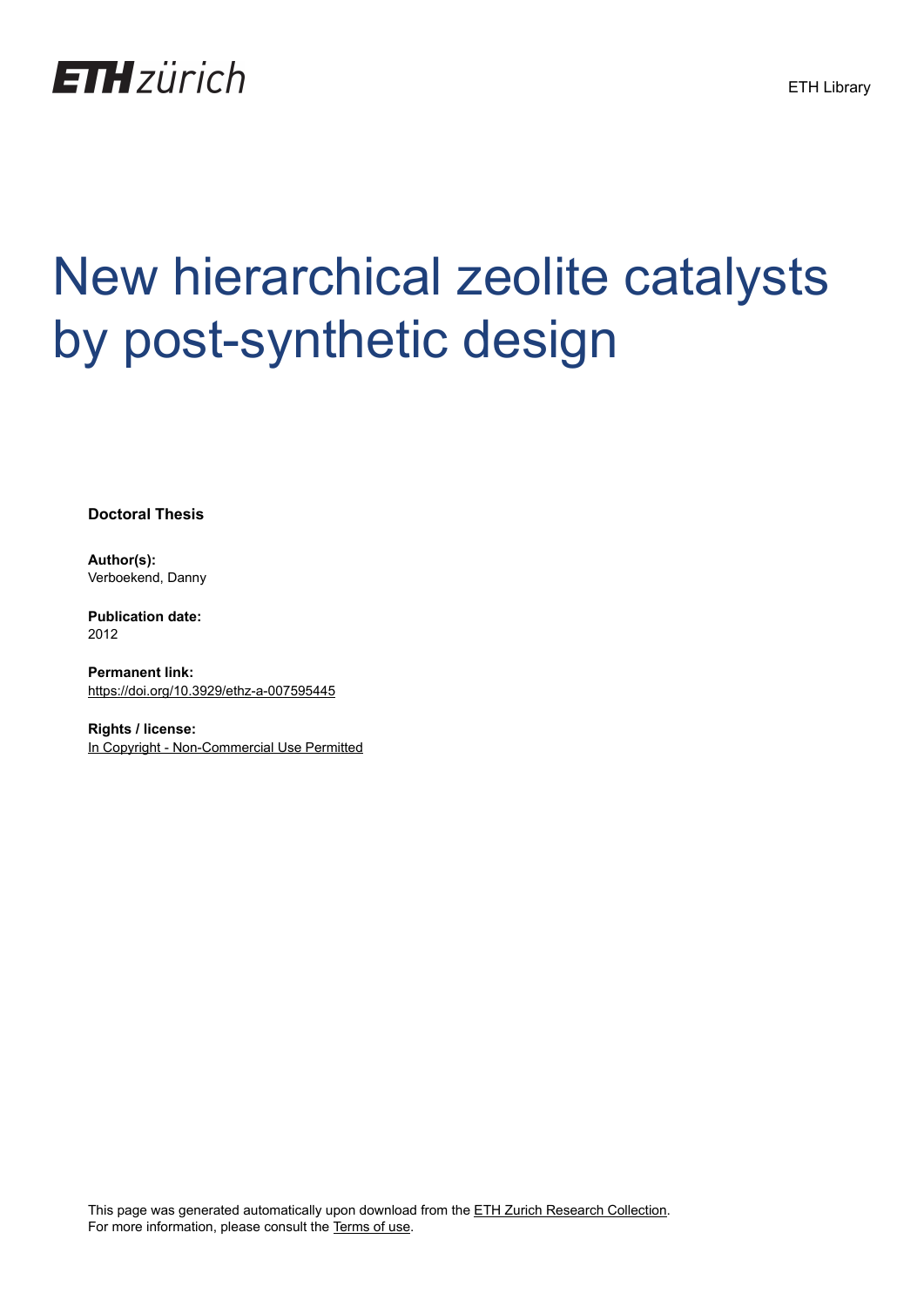

## New hierarchical zeolite catalysts by post-synthetic design

**Doctoral Thesis**

**Author(s):** Verboekend, Danny

**Publication date:** 2012

**Permanent link:** <https://doi.org/10.3929/ethz-a-007595445>

**Rights / license:** [In Copyright - Non-Commercial Use Permitted](http://rightsstatements.org/page/InC-NC/1.0/)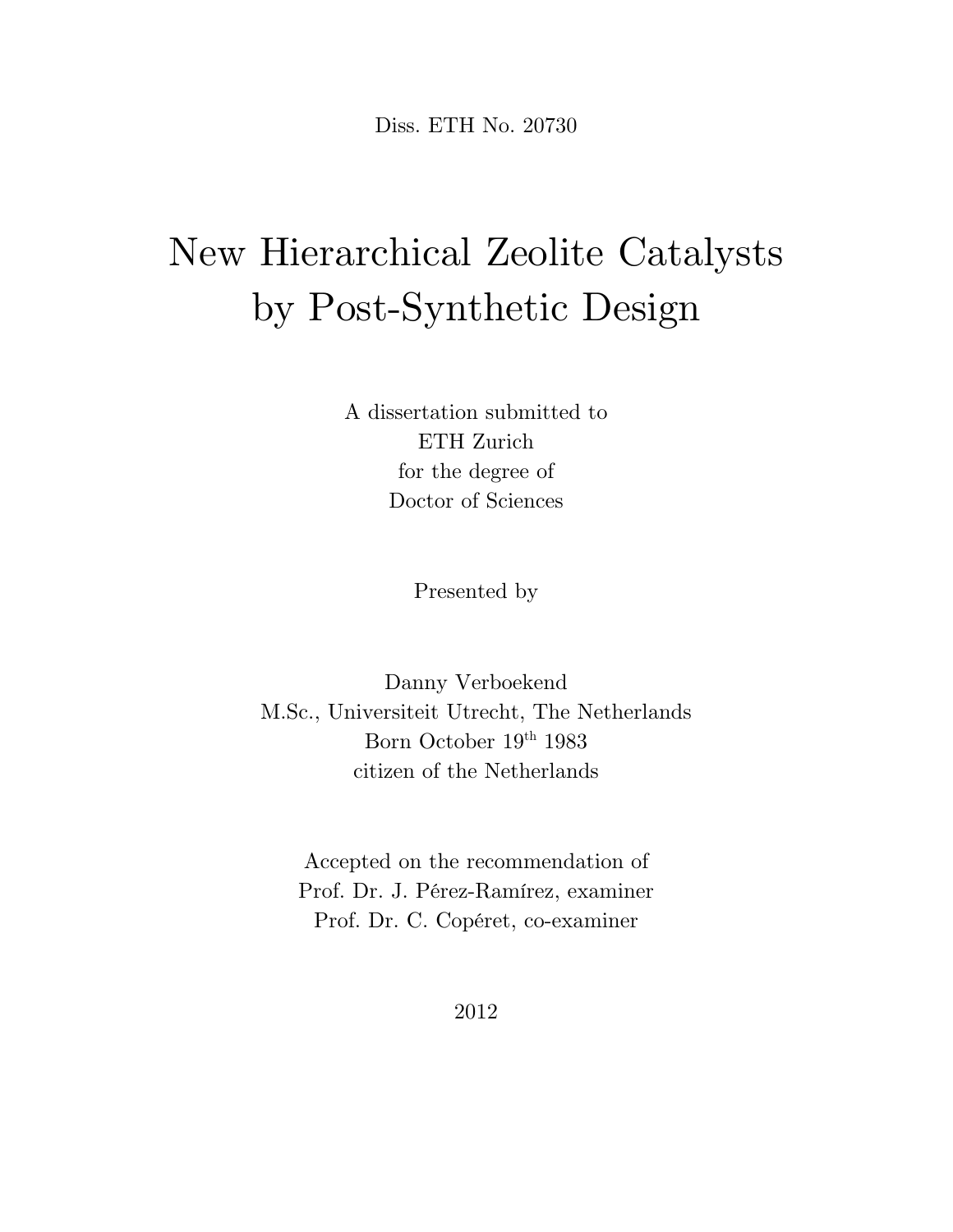Diss. ETH No. 20730

## New Hierarchical Zeolite Catalysts by Post-Synthetic Design

A dissertation submitted to ETH Zurich for the degree of Doctor of Sciences

Presented by

Danny Verboekend M.Sc., Universiteit Utrecht, The Netherlands Born October 19<sup>th</sup> 1983 citizen of the Netherlands

Accepted on the recommendation of Prof. Dr. J. Pérez-Ramírez, examiner Prof. Dr. C. Copéret, co-examiner

2012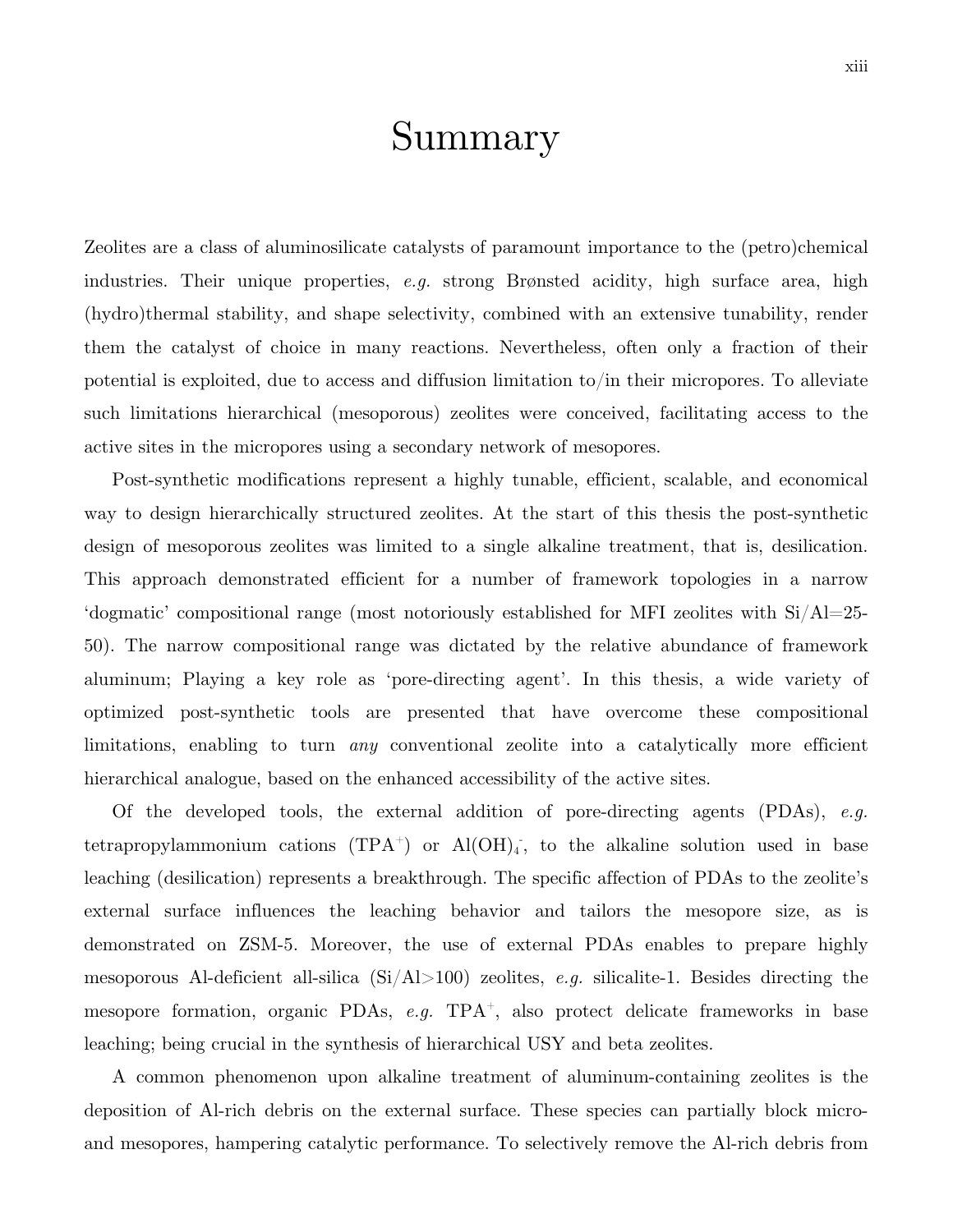## Summary

Zeolites are a class of aluminosilicate catalysts of paramount importance to the (petro)chemical industries. Their unique properties, *e.g.* strong Brønsted acidity, high surface area, high (hydro)thermal stability, and shape selectivity, combined with an extensive tunability, render them the catalyst of choice in many reactions. Nevertheless, often only a fraction of their potential is exploited, due to access and diffusion limitation to/in their micropores. To alleviate such limitations hierarchical (mesoporous) zeolites were conceived, facilitating access to the active sites in the micropores using a secondary network of mesopores.

Post-synthetic modifications represent a highly tunable, efficient, scalable, and economical way to design hierarchically structured zeolites. At the start of this thesis the post-synthetic design of mesoporous zeolites was limited to a single alkaline treatment, that is, desilication. This approach demonstrated efficient for a number of framework topologies in a narrow 'dogmatic' compositional range (most notoriously established for MFI zeolites with  $Si/Al=25$ -50). The narrow compositional range was dictated by the relative abundance of framework aluminum; Playing a key role as 'pore-directing agent'. In this thesis, a wide variety of optimized post-synthetic tools are presented that have overcome these compositional limitations, enabling to turn *any* conventional zeolite into a catalytically more efficient hierarchical analogue, based on the enhanced accessibility of the active sites.

Of the developed tools, the external addition of pore-directing agents (PDAs), *e.g.* tetrapropylammonium cations  $(TPA^+)$  or  $Al(OH)_4$ , to the alkaline solution used in base leaching (desilication) represents a breakthrough. The specific affection of PDAs to the zeolite's external surface influences the leaching behavior and tailors the mesopore size, as is demonstrated on ZSM-5. Moreover, the use of external PDAs enables to prepare highly mesoporous Al-deficient all-silica (Si/Al>100) zeolites, *e.g.* silicalite-1. Besides directing the mesopore formation, organic PDAs, *e.g.* TPA<sup>+</sup>, also protect delicate frameworks in base leaching; being crucial in the synthesis of hierarchical USY and beta zeolites.

A common phenomenon upon alkaline treatment of aluminum-containing zeolites is the deposition of Al-rich debris on the external surface. These species can partially block microand mesopores, hampering catalytic performance. To selectively remove the Al-rich debris from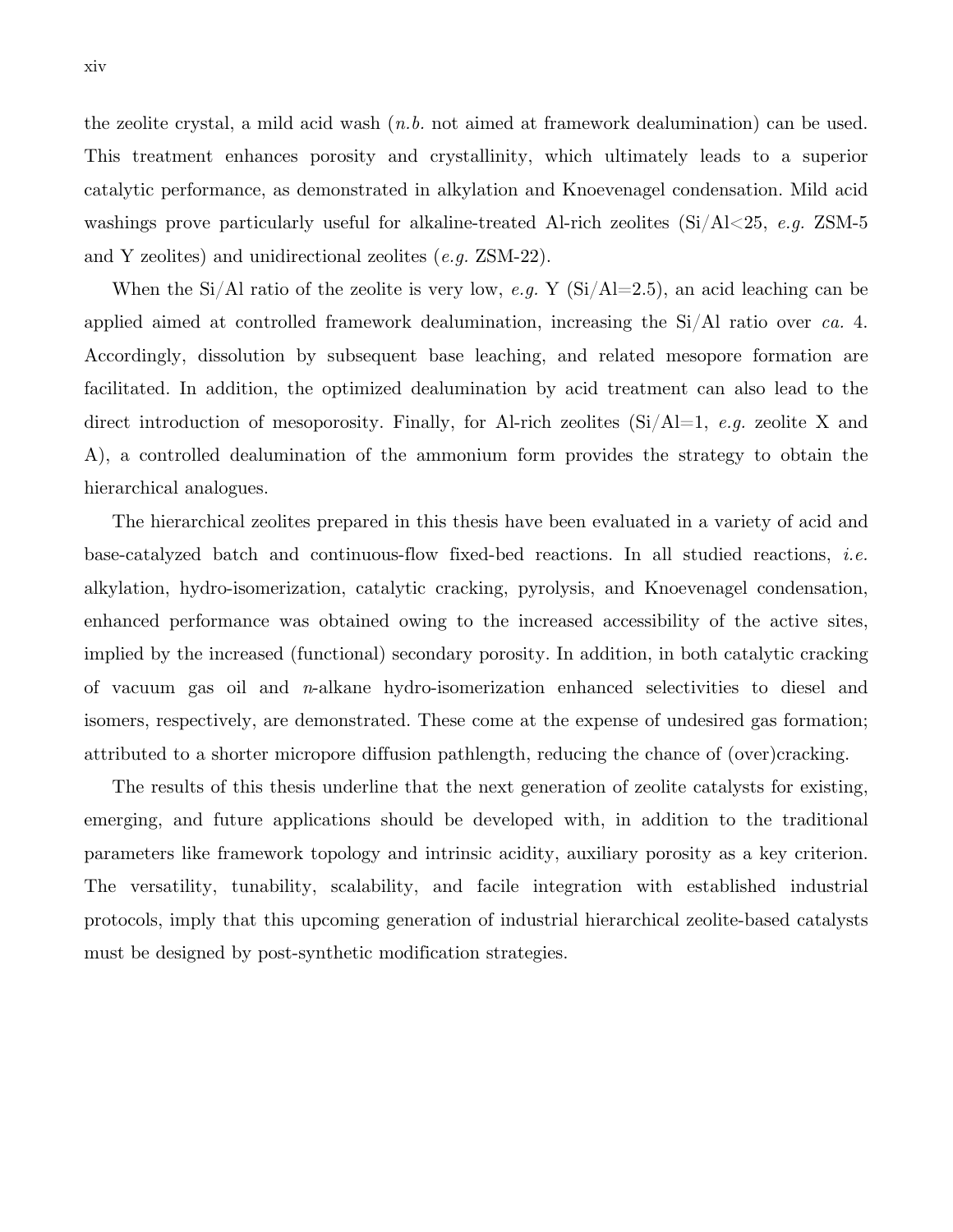the zeolite crystal, a mild acid wash (*n.b.* not aimed at framework dealumination) can be used. This treatment enhances porosity and crystallinity, which ultimately leads to a superior catalytic performance, as demonstrated in alkylation and Knoevenagel condensation. Mild acid washings prove particularly useful for alkaline-treated Al-rich zeolites (Si/Al<25, *e.g.* ZSM-5 and Y zeolites) and unidirectional zeolites (*e.g.* ZSM-22).

When the Si/Al ratio of the zeolite is very low, *e.g.* Y ( $Si/Al=2.5$ ), an acid leaching can be applied aimed at controlled framework dealumination, increasing the Si/Al ratio over *ca.* 4. Accordingly, dissolution by subsequent base leaching, and related mesopore formation are facilitated. In addition, the optimized dealumination by acid treatment can also lead to the direct introduction of mesoporosity. Finally, for Al-rich zeolites (Si/Al=1, *e.g.* zeolite X and A), a controlled dealumination of the ammonium form provides the strategy to obtain the hierarchical analogues.

The hierarchical zeolites prepared in this thesis have been evaluated in a variety of acid and base-catalyzed batch and continuous-flow fixed-bed reactions. In all studied reactions, *i.e.* alkylation, hydro-isomerization, catalytic cracking, pyrolysis, and Knoevenagel condensation, enhanced performance was obtained owing to the increased accessibility of the active sites, implied by the increased (functional) secondary porosity. In addition, in both catalytic cracking of vacuum gas oil and *n*-alkane hydro-isomerization enhanced selectivities to diesel and isomers, respectively, are demonstrated. These come at the expense of undesired gas formation; attributed to a shorter micropore diffusion pathlength, reducing the chance of (over)cracking.

The results of this thesis underline that the next generation of zeolite catalysts for existing, emerging, and future applications should be developed with, in addition to the traditional parameters like framework topology and intrinsic acidity, auxiliary porosity as a key criterion. The versatility, tunability, scalability, and facile integration with established industrial protocols, imply that this upcoming generation of industrial hierarchical zeolite-based catalysts must be designed by post-synthetic modification strategies.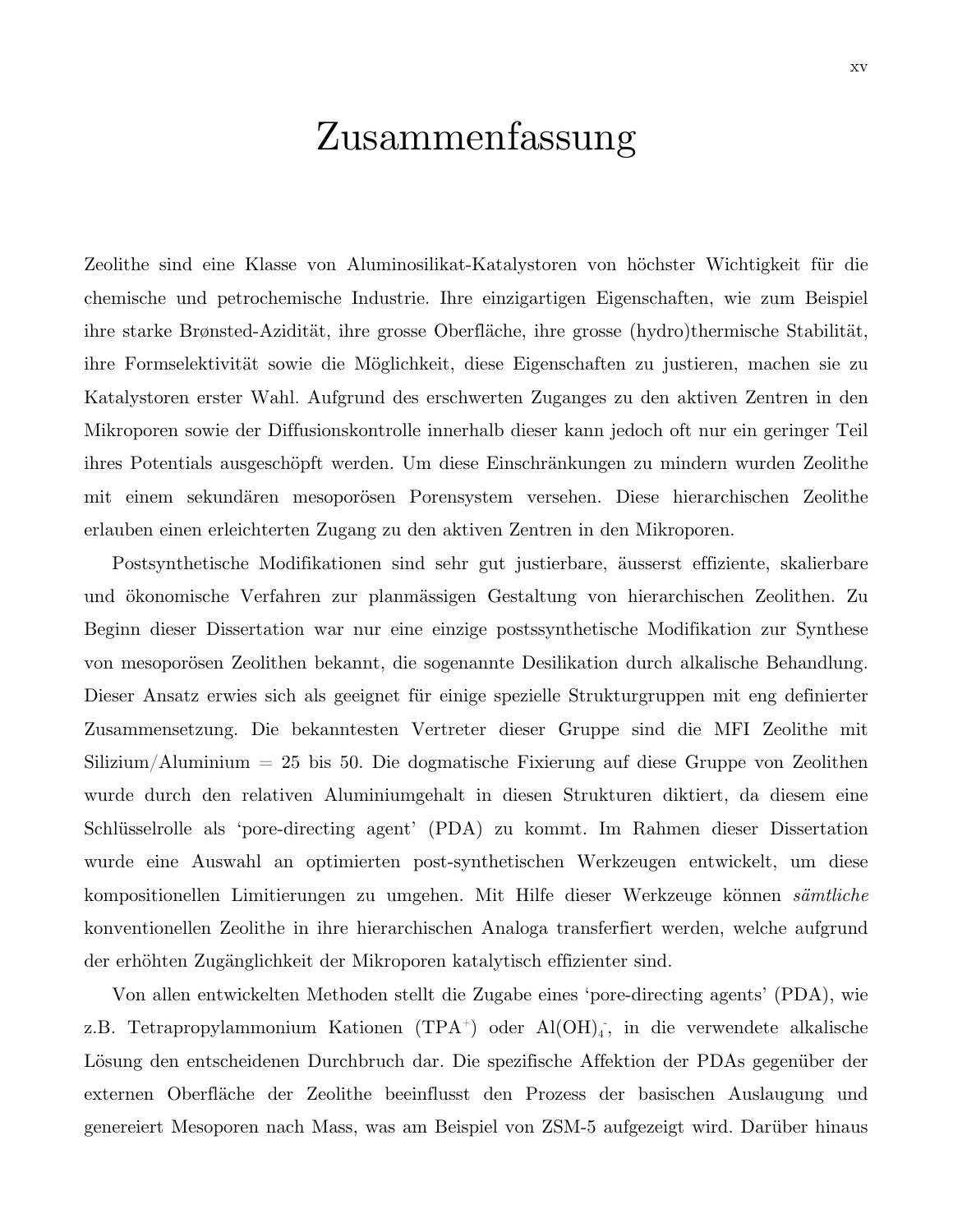## Zusammenfassung

Zeolithe sind eine Klasse von Aluminosilikat-Katalystoren von höchster Wichtigkeit für die chemische und petrochemische Industrie. Ihre einzigartigen Eigenschaften, wie zum Beispiel ihre starke Brønsted-Azidität, ihre grosse Oberfläche, ihre grosse (hydro)thermische Stabilität, ihre Formselektivität sowie die Möglichkeit, diese Eigenschaften zu justieren, machen sie zu Katalystoren erster Wahl. Aufgrund des erschwerten Zuganges zu den aktiven Zentren in den Mikroporen sowie der Diffusionskontrolle innerhalb dieser kann jedoch oft nur ein geringer Teil ihres Potentials ausgeschöpft werden. Um diese Einschränkungen zu mindern wurden Zeolithe mit einem sekundären mesoporösen Porensystem versehen. Diese hierarchischen Zeolithe erlauben einen erleichterten Zugang zu den aktiven Zentren in den Mikroporen.

Postsynthetische Modifikationen sind sehr gut justierbare, äusserst effiziente, skalierbare und ökonomische Verfahren zur planmässigen Gestaltung von hierarchischen Zeolithen. Zu Beginn dieser Dissertation war nur eine einzige postssynthetische Modifikation zur Synthese von mesoporösen Zeolithen bekannt, die sogenannte Desilikation durch alkalische Behandlung. Dieser Ansatz erwies sich als geeignet für einige spezielle Strukturgruppen mit eng definierter Zusammensetzung. Die bekanntesten Vertreter dieser Gruppe sind die MFI Zeolithe mit  $Silizium/Aluminium = 25$  bis 50. Die dogmatische Fixierung auf diese Gruppe von Zeolithen wurde durch den relativen Aluminiumgehalt in diesen Strukturen diktiert, da diesem eine Schlüsselrolle als 'pore-directing agent' (PDA) zu kommt. Im Rahmen dieser Dissertation wurde eine Auswahl an optimierten post-synthetischen Werkzeugen entwickelt, um diese kompositionellen Limitierungen zu umgehen. Mit Hilfe dieser Werkzeuge können *sämtliche* konventionellen Zeolithe in ihre hierarchischen Analoga transferfiert werden, welche aufgrund der erhöhten Zugänglichkeit der Mikroporen katalytisch effizienter sind.

Von allen entwickelten Methoden stellt die Zugabe eines 'pore-directing agents' (PDA), wie z.B. Tetrapropylammonium Kationen (TPA<sup>+</sup>) oder Al(OH)<sub>4</sub><sup>-</sup>, in die verwendete alkalische Lösung den entscheidenen Durchbruch dar. Die spezifische Affektion der PDAs gegenüber der externen Oberfläche der Zeolithe beeinflusst den Prozess der basischen Auslaugung und genereiert Mesoporen nach Mass, was am Beispiel von ZSM-5 aufgezeigt wird. Darüber hinaus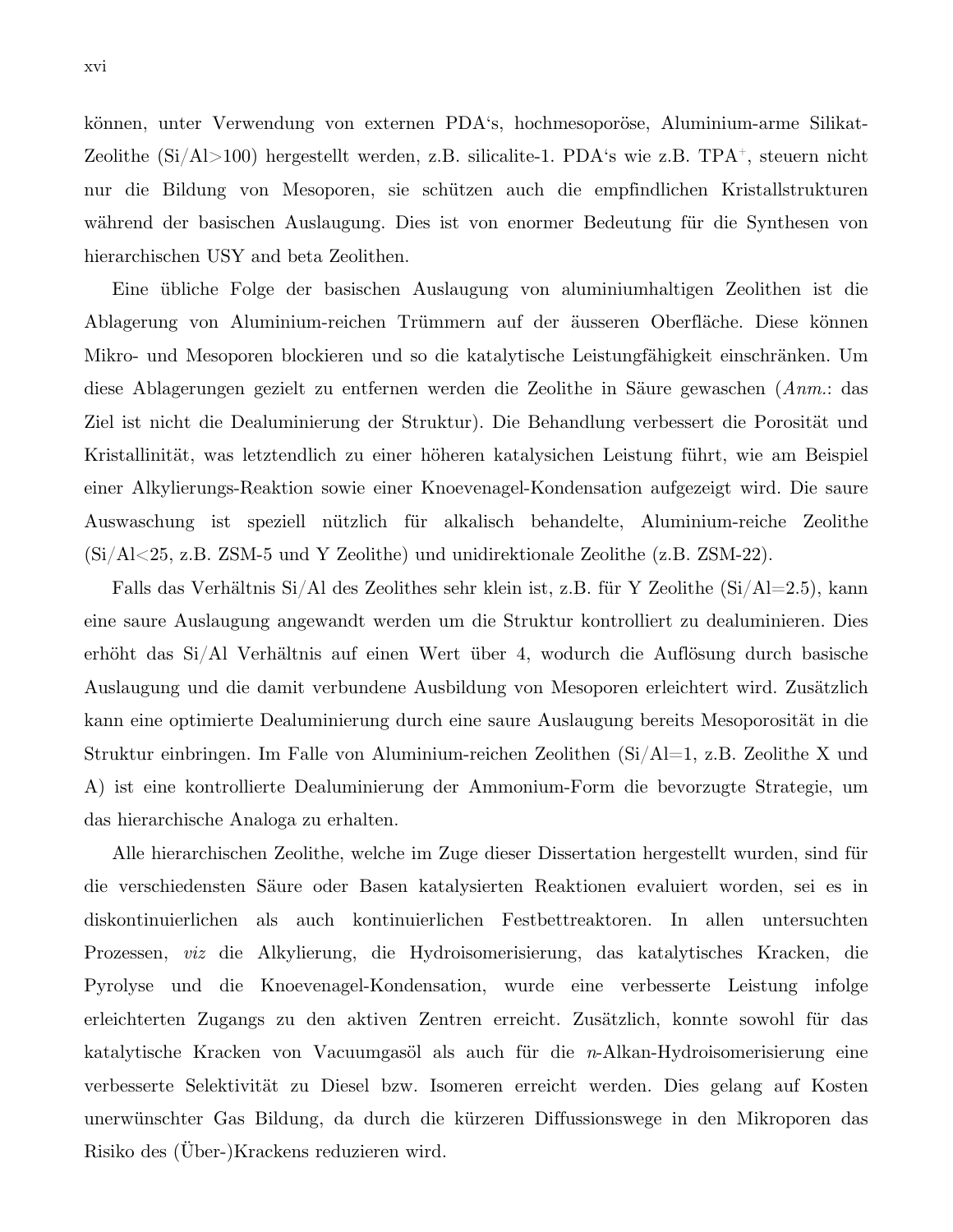können, unter Verwendung von externen PDA's, hochmesoporöse, Aluminium-arme Silikat-Zeolithe  $(Si/Al>100)$  hergestellt werden, z.B. silicalite-1. PDA's wie z.B. TPA<sup>+</sup>, steuern nicht nur die Bildung von Mesoporen, sie schützen auch die empfindlichen Kristallstrukturen während der basischen Auslaugung. Dies ist von enormer Bedeutung für die Synthesen von hierarchischen USY and beta Zeolithen.

Eine übliche Folge der basischen Auslaugung von aluminiumhaltigen Zeolithen ist die Ablagerung von Aluminium-reichen Trümmern auf der äusseren Oberfläche. Diese können Mikro- und Mesoporen blockieren und so die katalytische Leistungfähigkeit einschränken. Um diese Ablagerungen gezielt zu entfernen werden die Zeolithe in Säure gewaschen (*Anm.*: das Ziel ist nicht die Dealuminierung der Struktur). Die Behandlung verbessert die Porosität und Kristallinität, was letztendlich zu einer höheren katalysichen Leistung führt, wie am Beispiel einer Alkylierungs-Reaktion sowie einer Knoevenagel-Kondensation aufgezeigt wird. Die saure Auswaschung ist speziell nützlich für alkalisch behandelte, Aluminium-reiche Zeolithe (Si/Al<25, z.B. ZSM-5 und Y Zeolithe) und unidirektionale Zeolithe (z.B. ZSM-22).

Falls das Verhältnis Si/Al des Zeolithes sehr klein ist, z.B. für Y Zeolithe (Si/Al=2.5), kann eine saure Auslaugung angewandt werden um die Struktur kontrolliert zu dealuminieren. Dies erhöht das Si/Al Verhältnis auf einen Wert über 4, wodurch die Auflösung durch basische Auslaugung und die damit verbundene Ausbildung von Mesoporen erleichtert wird. Zusätzlich kann eine optimierte Dealuminierung durch eine saure Auslaugung bereits Mesoporosität in die Struktur einbringen. Im Falle von Aluminium-reichen Zeolithen (Si/Al=1, z.B. Zeolithe X und A) ist eine kontrollierte Dealuminierung der Ammonium-Form die bevorzugte Strategie, um das hierarchische Analoga zu erhalten.

Alle hierarchischen Zeolithe, welche im Zuge dieser Dissertation hergestellt wurden, sind für die verschiedensten Säure oder Basen katalysierten Reaktionen evaluiert worden, sei es in diskontinuierlichen als auch kontinuierlichen Festbettreaktoren. In allen untersuchten Prozessen, *viz* die Alkylierung, die Hydroisomerisierung, das katalytisches Kracken, die Pyrolyse und die Knoevenagel-Kondensation, wurde eine verbesserte Leistung infolge erleichterten Zugangs zu den aktiven Zentren erreicht. Zusätzlich, konnte sowohl für das katalytische Kracken von Vacuumgasöl als auch für die *n*-Alkan-Hydroisomerisierung eine verbesserte Selektivität zu Diesel bzw. Isomeren erreicht werden. Dies gelang auf Kosten unerwünschter Gas Bildung, da durch die kürzeren Diffussionswege in den Mikroporen das Risiko des (Über-)Krackens reduzieren wird.